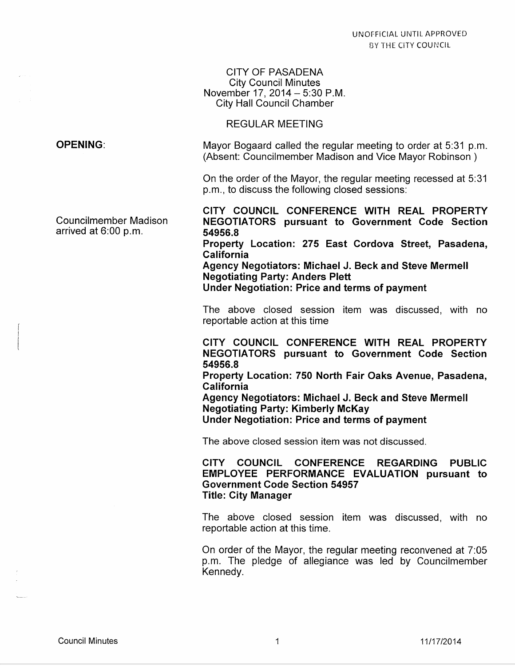#### CITY OF PASADENA City Council Minutes November 17, 2014 - 5:30 P.M. City Hall Council Chamber

#### REGULAR MEETING

Mayor Bogaard called the regular meeting to order at 5:31 p.m. (Absent: Councilmember Madison and Vice Mayor Robinson )

On the order of the Mayor, the regular meeting recessed at 5:31 p.m., to discuss the following closed sessions:

Councilmember Madison arrived at  $6:00$  p.m.

OPENING:

CITY COUNCIL CONFERENCE WITH REAL PROPERTY NEGOTIATORS pursuant to Government Code Section 54956.8 Property Location: 275 East Cordova Street, Pasadena, California

Agency Negotiators: Michael J. Beck and Steve Mermell Negotiating Party: Anders Plett

Under Negotiation: Price and terms of payment

The above closed session item was discussed, with no reportable action at this time

CITY COUNCIL CONFERENCE WITH REAL PROPERTY NEGOTIATORS pursuant to Government Code Section 54956.8

Property Location: 750 North Fair Oaks Avenue, Pasadena, California

Agency Negotiators: Michael J. Beck and Steve Mermell Negotiating Party: Kimberly McKay Under Negotiation: Price and terms of payment

The above closed session item was not discussed.

CITY COUNCIL CONFERENCE REGARDING PUBLIC EMPLOYEE PERFORMANCE EVALUATION pursuant to Government Code Section 54957 Title: City Manager

The above closed session item was discussed, with no reportable action at this time.

On order of the Mayor, the regular meeting reconvened at 7:05 p.m. The pledge of allegiance was led by Councilmember Kennedy.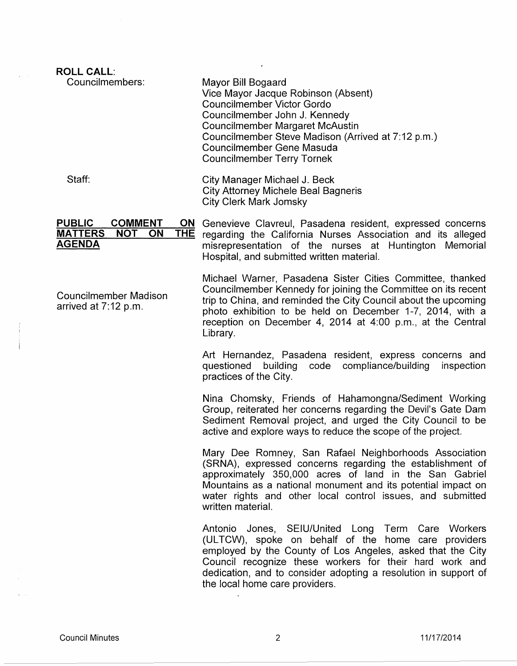| <b>ROLL CALL:</b>                                                                                                 |                                                                                                                                                                                                                                                                                                                                        |
|-------------------------------------------------------------------------------------------------------------------|----------------------------------------------------------------------------------------------------------------------------------------------------------------------------------------------------------------------------------------------------------------------------------------------------------------------------------------|
| Councilmembers:                                                                                                   | Mayor Bill Bogaard<br>Vice Mayor Jacque Robinson (Absent)<br><b>Councilmember Victor Gordo</b><br>Councilmember John J. Kennedy<br><b>Councilmember Margaret McAustin</b><br>Councilmember Steve Madison (Arrived at 7:12 p.m.)<br>Councilmember Gene Masuda<br><b>Councilmember Terry Tornek</b>                                      |
| Staff:                                                                                                            | City Manager Michael J. Beck<br>City Attorney Michele Beal Bagneris<br><b>City Clerk Mark Jomsky</b>                                                                                                                                                                                                                                   |
| <b>PUBLIC</b><br><b>COMMENT</b><br>ON<br><b>MATTERS</b><br><b>NOT</b><br><b>ON</b><br><b>THE</b><br><b>AGENDA</b> | Genevieve Clavreul, Pasadena resident, expressed concerns<br>regarding the California Nurses Association and its alleged<br>misrepresentation of the nurses at Huntington Memorial<br>Hospital, and submitted written material.                                                                                                        |
| <b>Councilmember Madison</b><br>arrived at 7:12 p.m.                                                              | Michael Warner, Pasadena Sister Cities Committee, thanked<br>Councilmember Kennedy for joining the Committee on its recent<br>trip to China, and reminded the City Council about the upcoming<br>photo exhibition to be held on December 1-7, 2014, with a<br>reception on December 4, 2014 at 4:00 p.m., at the Central<br>Library.   |
|                                                                                                                   | Art Hernandez, Pasadena resident, express concerns and<br>questioned<br>building<br>compliance/building<br>code<br>inspection<br>practices of the City.                                                                                                                                                                                |
|                                                                                                                   | Nina Chomsky, Friends of Hahamongna/Sediment Working<br>Group, reiterated her concerns regarding the Devil's Gate Dam<br>Sediment Removal project, and urged the City Council to be<br>active and explore ways to reduce the scope of the project.                                                                                     |
|                                                                                                                   | Mary Dee Romney, San Rafael Neighborhoods Association<br>(SRNA), expressed concerns regarding the establishment of<br>approximately 350,000 acres of land in the San Gabriel<br>Mountains as a national monument and its potential impact on<br>water rights and other local control issues, and submitted<br>written material.        |
|                                                                                                                   | Antonio Jones, SEIU/United Long Term Care Workers<br>(ULTCW), spoke on behalf of the home care providers<br>employed by the County of Los Angeles, asked that the City<br>Council recognize these workers for their hard work and<br>dedication, and to consider adopting a resolution in support of<br>the local home care providers. |
|                                                                                                                   |                                                                                                                                                                                                                                                                                                                                        |

 $\sim 10^7$ 

 $\zeta_{\rm{max}}$ 

ц.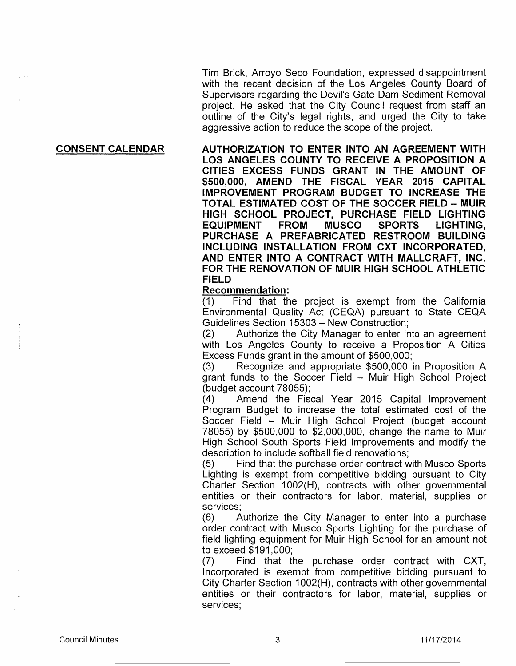Tim Brick, Arroyo Seco Foundation, expressed disappointment with the recent decision of the Los Angeles County Board of Supervisors regarding the Devil's Gate Dam Sediment Removal project. He asked that the City Council request from staff an outline of the City's legal rights, and urged the City to take aggressive action to reduce the scope of the project.

#### CONSENT CALENDAR

AUTHORIZATION TO ENTER INTO AN AGREEMENT WITH LOS ANGELES COUNTY TO RECEIVE A PROPOSITION A CITIES EXCESS FUNDS GRANT IN THE AMOUNT OF \$500,000, AMEND THE FISCAL YEAR 2015 CAPITAL IMPROVEMENT PROGRAM BUDGET TO INCREASE THE TOTAL ESTIMATED COST OF THE SOCCER FIELD- MUIR HIGH SCHOOL PROJECT, PURCHASE FIELD LIGHTING EQUIPMENT FROM MUSCO SPORTS LIGHTING, PURCHASE A PREFABRICATED RESTROOM BUILDING INCLUDING INSTALLATION FROM CXT INCORPORATED, AND ENTER INTO A CONTRACT WITH MALLCRAFT, INC. FOR THE RENOVATION OF MUIR HIGH SCHOOL ATHLETIC FIELD

#### Recommendation:

(1) Find that the project is exempt from the California Environmental Quality Act (CEQA) pursuant to State CEQA Guidelines Section 15303- New Construction;

(2) Authorize the City Manager to enter into an agreement with Los Angeles County to receive a Proposition A Cities Excess Funds grant in the amount of \$500,000;

(3) Recognize and appropriate \$500,000 in Proposition A grant funds to the Soccer Field - Muir High School Project (budget account 78055);

(4) Amend the Fiscal Year 2015 Capital Improvement Program Budget to increase the total estimated cost of the Soccer Field - Muir High School Project (budget account 78055) by \$500,000 to \$2,000,000, change the name to Muir High School South Sports Field Improvements and modify the description to include softball field renovations;

(5) Find that the purchase order contract with Musco Sports Lighting is exempt from competitive bidding pursuant to City Charter Section 1002(H), contracts with other governmental entities or their contractors for labor, material, supplies or services;

(6) Authorize the City Manager to enter into a purchase order contract with Musco Sports Lighting for the purchase of field lighting equipment for Muir High School for an amount not to exceed \$191 ,000;

(7) Find that the purchase order contract with CXT, Incorporated is exempt from competitive bidding pursuant to City Charter Section 1002(H), contracts with other governmental entities or their contractors for labor, material, supplies or services;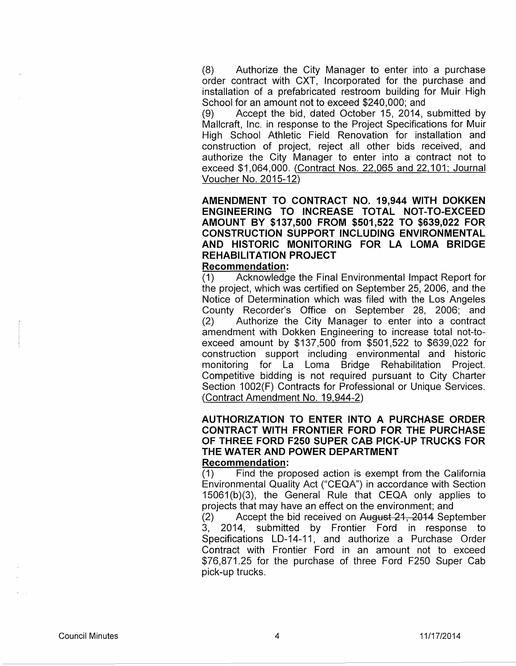(8) Authorize the City Manager to enter into a purchase order contract with CXT, Incorporated for the purchase and installation of a prefabricated restroom building for Muir High School for an amount not to exceed \$240,000; and

(9) Accept the bid, dated October 15, 2014, submitted by Mallcraft, Inc. in response to the Project Specifications for Muir High School Athletic Field Renovation for installation and construction of project, reject all other bids received, and authorize the City Manager to enter into a contract not to exceed \$1,064,000. (Contract Nos. 22,065 and 22,101; Journal Voucher No. 2015-12)

# **AMENDMENT TO CONTRACT NO. 19,944 WITH DOKKEN ENGINEERING TO INCREASE TOTAL NOT-TO-EXCEED AMOUNT BY \$137,500 FROM \$501,522 TO \$639,022 FOR CONSTRUCTION SUPPORT INCLUDING ENVIRONMENTAL AND HISTORIC MONITORING FOR LA LOMA BRIDGE REHABILITATION PROJECT**

#### **Recommendation:**

(1) Acknowledge the Final Environmental Impact Report for the project, which was certified on September 25, 2006, and the Notice of Determination which was filed with the Los Angeles County Recorder's Office on September 28, 2006; and (2) Authorize the City Manager to enter into a contract amendment with Dokken Engineering to increase total not-toexceed amount by \$137,500 from \$501,522 to \$639,022 for construction support including environmental and historic monitoring for La Loma Bridge Rehabilitation Project. Competitive bidding is not required pursuant to City Charter Section 1002(F) Contracts for Professional or Unique Services. (Contract Amendment No. 19,944-2)

#### **AUTHORIZATION TO ENTER INTO A PURCHASE ORDER CONTRACT WITH FRONTIER FORD FOR THE PURCHASE OF THREE FORD F250 SUPER CAB PICK-UP TRUCKS FOR THE WATER AND POWER DEPARTMENT Recommendation:**

(1) Find the proposed action is exempt from the California Environmental Quality Act ("CEQA") in accordance with Section 15061 (b)(3), the General Rule that CEQA only applies to projects that may have an effect on the environment; and

(2) Accept the bid received on August 21, 2014 September 3, 2014, submitted by Frontier Ford in response to Specifications LD-14-11, and authorize a Purchase Order Contract with Frontier Ford in an amount not to exceed \$76,871.25 for the purchase of three Ford F250 Super Cab pick-up trucks.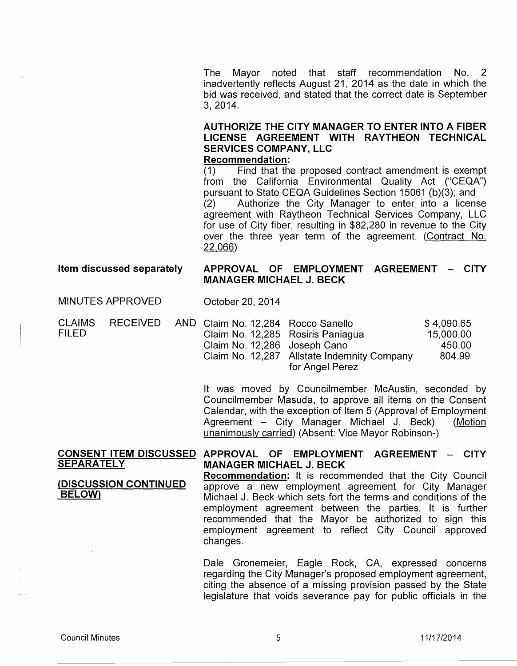The Mayor noted that staff recommendation No. 2 inadvertently reflects August 21, 2014 as the date in which the bid was received, and stated that the correct date is September 3, 2014.

# AUTHORIZE THE CITY MANAGER TO ENTER INTO A FIBER LICENSE AGREEMENT WITH RAYTHEON TECHNICAL SERVICES COMPANY, LLC

#### Recommendation:

(1) Find that the proposed contract amendment is exempt from the California Environmental Quality Act ("CEQA") pursuant to State CEQA Guidelines Section 15061 (b)(3); and (2) Authorize the City Manager to enter into a license agreement with Raytheon Technical Services Company, LLC for use of City fiber, resulting in \$82,280 in revenue to the City over the three year term of the agreement. (Contract No. 22,066)

#### Item discussed separately

# APPROVAL OF EMPLOYMENT AGREEMENT - CITY MANAGER MICHAEL J. BECK

MINUTES APPROVED

CLAIMS FILED **RECEIVED** 

October 20, 2014

| AND Claim No. 12,284 Rocco Sanello |                                             | \$4,090.65 |
|------------------------------------|---------------------------------------------|------------|
| Claim No. 12,285 Rosiris Paniagua  |                                             | 15,000.00  |
| Claim No. 12,286 Joseph Cano       |                                             | 450.00     |
|                                    | Claim No. 12,287 Allstate Indemnity Company | 804.99     |
|                                    | for Angel Perez                             |            |

It was moved by Councilmember McAustin, seconded by Councilmember Masuda, to approve all items on the Consent Calendar, with the exception of Item 5 (Approval of Employment Agreement - City Manager Michael J. Beck) (Motion unanimously carried) (Absent: Vice Mayor Robinson-)

#### CONSENT ITEM DISCUSSED APPROVAL OF EMPLOYMENT AGREEMENT - CITY **SEPARATELY** MANAGER MICHAEL J. BECK

# (DISCUSSION CONTINUED BELOW)

Recommendation: It is recommended that the City Council approve a new employment agreement for City Manager Michael J. Beck which sets fort the terms and conditions of the employment agreement between the parties. It is further recommended that the Mayor be authorized to sign this employment agreement to reflect City Council approved changes.

Dale Gronemeier, Eagle Rock, CA, expressed concerns regarding the City Manager's proposed employment agreement, citing the absence of a missing provision passed by the State legislature that voids severance pay for public officials in the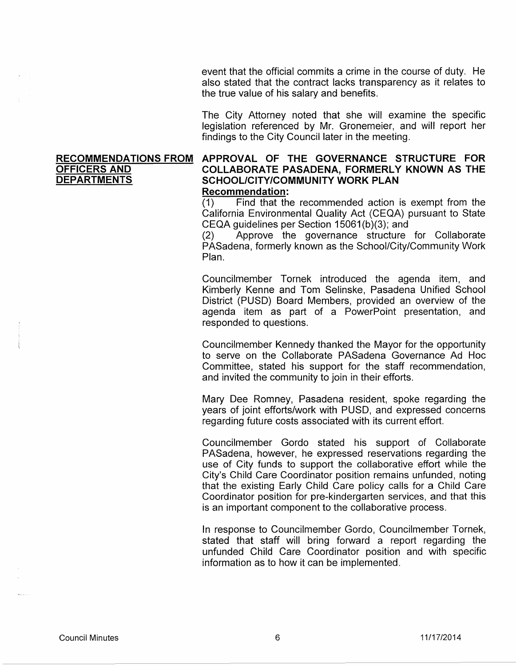event that the official commits a crime in the course of duty. He also stated that the contract lacks transparency as it relates to the true value of his salary and benefits.

The City Attorney noted that she will examine the specific legislation referenced by Mr. Gronemeier, and will report her findings to the City Council later in the meeting.

#### **RECOMMENDATIONS FROM APPROVAL OF THE GOVERNANCE STRUCTURE FOR OFFICERS AND COLLABORATE PASADENA, FORMERLY KNOWN AS THE DEPARTMENTS SCHOOL/CITY/COMMUNITY WORK PLAN** SCHOOL/CITY/COMMUNITY WORK PLAN **Recommendation:**

(1) Find that the recommended action is exempt from the California Environmental Quality Act (CEQA) pursuant to State CEQA guidelines per Section 15061 (b)(3); and

(2) Approve the governance structure for Collaborate PASadena, formerly known as the School/City/Community Work Plan.

Councilmember Tornek introduced the agenda item, and Kimberly Kenne and Tom Selinske, Pasadena Unified School District (PUSD) Board Members, provided an overview of the agenda item as part of a PowerPoint presentation, and responded to questions.

Councilmember Kennedy thanked the Mayor for the opportunity to serve on the Collaborate PASadena Governance Ad Hoc Committee, stated his support for the staff recommendation, and invited the community to join in their efforts.

Mary Dee Romney, Pasadena resident, spoke regarding the years of joint efforts/work with PUSD, and expressed concerns regarding future costs associated with its current effort.

Councilmember Gordo stated his support of Collaborate PASadena, however, he expressed reservations regarding the use of City funds to support the collaborative effort while the City's Child Care Coordinator position remains unfunded, noting that the existing Early Child Care policy calls for a Child Care Coordinator position for pre-kindergarten services, and that this is an important component to the collaborative process.

In response to Councilmember Gordo, Councilmember Tornek, stated that staff will bring forward a report regarding the unfunded Child Care Coordinator position and with specific information as to how it can be implemented.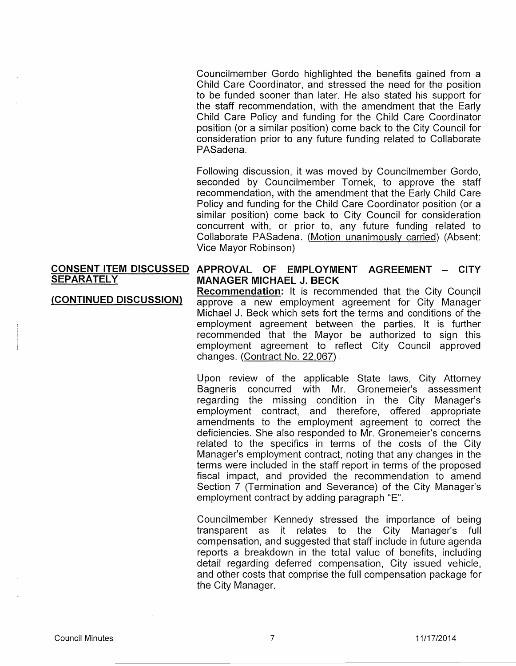Councilmember Gordo highlighted the benefits gained from a Child Care Coordinator, and stressed the need for the position to be funded sooner than later. He also stated his support for the staff recommendation, with the amendment that the Early Child Care Policy and funding for the Child Care Coordinator position (or a similar position) come back to the City Council for consideration prior to any future funding related to Collaborate PASadena.

Following discussion, it was moved by Councilmember Gordo, seconded by Councilmember Tornek, to approve the staff recommendation, with the amendment that the Early Child Care Policy and funding for the Child Care Coordinator position (or a similar position) come back to City Council for consideration concurrent with, or prior to, any future funding related to Collaborate PASadena. (Motion unanimously carried) (Absent: Vice Mayor Robinson)

#### **CONSENT ITEM DISCUSSED APPROVAL OF EMPLOYMENT AGREEMENT - CITY SEPARATELY MANAGER MICHAEL J. BECK**

**(CONTINUED DISCUSSION) Recommendation:** It is recommended that the City Council approve a new employment agreement for City Manager Michael J. Beck which sets fort the terms and conditions of the employment agreement between the parties. It is further recommended that the Mayor be authorized to sign this employment agreement to reflect City Council approved changes. (Contract No. 22,067)

> Upon review of the applicable State laws, City Attorney Bagneris concurred with Mr. Gronemeier's assessment regarding the missing condition in the City Manager's employment contract, and therefore, offered appropriate amendments to the employment agreement to correct the deficiencies. She also responded to Mr. Gronemeier's concerns related to the specifics in terms of the costs of the City Manager's employment contract, noting that any changes in the terms were included in the staff report in terms of the proposed fiscal impact, and provided the recommendation to amend Section 7 (Termination and Severance) of the City Manager's employment contract by adding paragraph "E".

> Councilmember Kennedy stressed the importance of being transparent as it relates to the City Manager's full compensation, and suggested that staff include in future agenda reports a breakdown in the total value of benefits, including detail regarding deferred compensation, City issued vehicle, and other costs that comprise the full compensation package for the City Manager.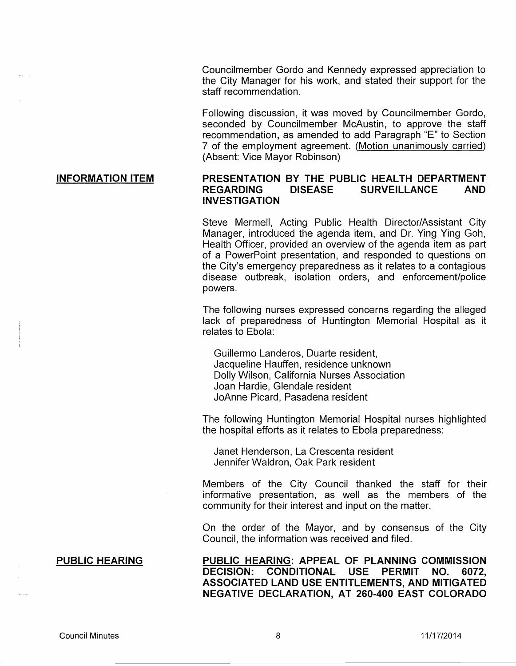Councilmember Gordo and Kennedy expressed appreciation to the City Manager for his work, and stated their support for the staff recommendation.

Following discussion, it was moved by Councilmember Gordo, seconded by Councilmember McAustin, to approve the staff recommendation, as amended to add Paragraph "E" to Section 7 of the employment agreement. (Motion unanimously carried) (Absent: Vice Mayor Robinson)

## **PRESENTATION BY THE PUBLIC HEALTH DEPARTMENT REGARDING DISEASE SURVEILLANCE AND** . **INVESTIGATION**

Steve Mermell, Acting Public Health Director/Assistant City Manager, introduced the agenda item, and Dr. Ying Ying Goh, Health Officer, provided an overview of the agenda item as part of a PowerPoint presentation, and responded to questions on the City's emergency preparedness as it relates to a contagious disease outbreak, isolation orders, and enforcement/police powers.

The following nurses expressed concerns regarding the alleged lack of preparedness of Huntington Memorial Hospital as it relates to Ebola:

Guillermo Landeros, Duarte resident, Jacqueline Hauffen, residence unknown Dolly Wilson, California Nurses Association Joan Hardie, Glendale resident JoAnne Picard, Pasadena resident

The following Huntington Memorial Hospital nurses highlighted the hospital efforts as it relates to Ebola preparedness:

Janet Henderson, La Crescenta resident Jennifer Waldron, Oak Park resident

Members of the City Council thanked the staff for their informative presentation, as well as the members of the community for their interest and input on the matter.

On the order of the Mayor, and by consensus of the City Council, the information was received and filed.

**PUBLIC HEARING: APPEAL OF PLANNING COMMISSION DECISION: CONDITIONAL USE PERMIT NO. 6072, ASSOCIATED LAND USE ENTITLEMENTS, AND MITIGATED NEGATIVE DECLARATION, AT 260-400 EAST COLORADO** 

# **INFORMATION ITEM**

## **PUBLIC HEARING**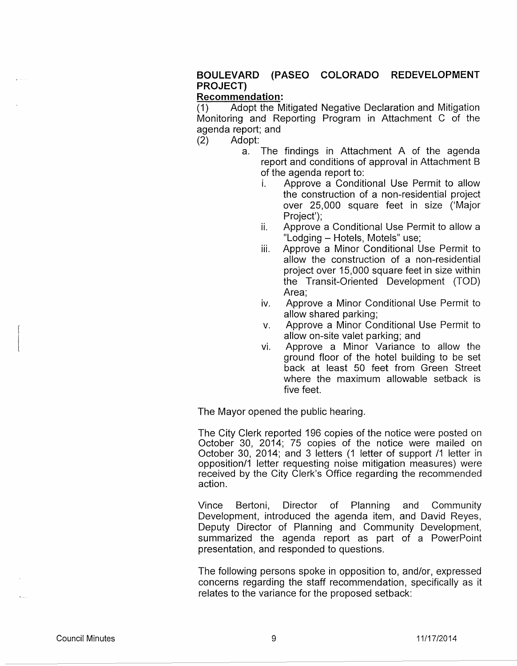# **BOULEVARD (PASEO COLORADO REDEVELOPMENT PROJECT)**

#### **Recommendation:**

(1) Adopt the Mitigated Negative Declaration and Mitigation Monitoring and Reporting Program in Attachment C of the agenda report; and

(2) Adopt:

- a. The findings in Attachment A of the agenda report and conditions of approval in Attachment B of the agenda report to:
	- i. Approve a Conditional Use Permit to allow the construction of a non-residential project over 25,000 square feet in size ('Major Project');
	- ii. Approve a Conditional Use Permit to allow a "Lodging - Hotels, Motels" use;
	- iii. Approve a Minor Conditional Use Permit to allow the construction of a non-residential project over 15,000 square feet in size within the Transit-Oriented Development (TOO) Area;
	- iv. Approve a Minor Conditional Use Permit to allow shared parking;
	- v. Approve a Minor Conditional Use Permit to allow on-site valet parking; and
	- vi. Approve a Minor Variance to allow the ground floor of the hotel building to be set back at least 50 feet from Green Street where the maximum allowable setback is five feet.

The Mayor opened the public hearing.

The City Clerk reported 196 copies of the notice were posted on October 30, 2014; 75 copies of the notice were mailed on October 30, 2014; and 3 letters (1 letter of support /1 letter in opposition/1 letter requesting noise mitigation measures) were received by the City Clerk's Office regarding the recommended action.

Vince Bertoni, Director of Planning and Community Development, introduced the agenda item, and David Reyes, Deputy Director of Planning and Community Development, summarized the agenda report as part of a PowerPoint presentation, and responded to questions.

The following persons spoke in opposition to, and/or, expressed concerns regarding the staff recommendation, specifically as it relates to the variance for the proposed setback: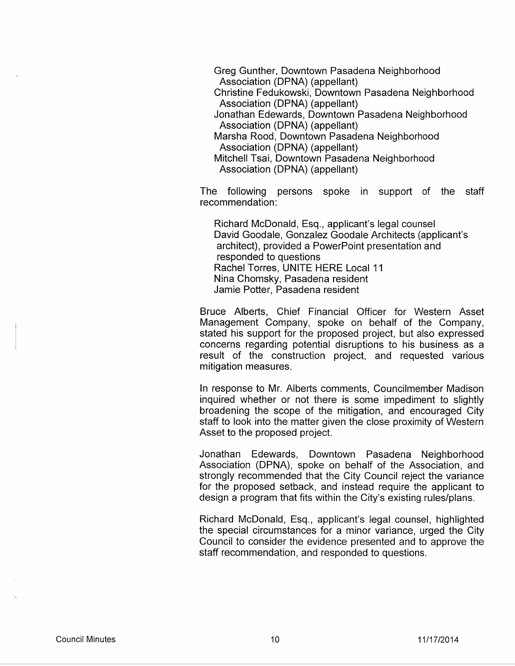Greg Gunther, Downtown Pasadena Neighborhood Association (DPNA) (appellant) Christine Fedukowski, Downtown Pasadena Neighborhood Association (DPNA) (appellant) Jonathan Edewards, Downtown Pasadena Neighborhood Association (DPNA) (appellant) Marsha Rood, Downtown Pasadena Neighborhood Association (DPNA) (appellant) Mitchell Tsai, Downtown Pasadena Neighborhood Association (DPNA) (appellant)

The following persons spoke in support of the staff recommendation:

Richard McDonald, Esq., applicant's legal counsel David Goodale, Gonzalez Goodale Architects (applicant's architect), provided a PowerPoint presentation and responded to questions Rachel Torres, UNITE HERE Local 11 Nina Chomsky, Pasadena resident Jamie Potter, Pasadena resident

Bruce Alberts, Chief Financial Officer for Western Asset Management Company, spoke on behalf of the Company, stated his support for the proposed project, but also expressed concerns regarding potential disruptions to his business as a result of the construction project, and requested various mitigation measures.

In response to Mr. Alberts comments, Councilmember Madison inquired whether or not there is some impediment to slightly broadening the scope of the mitigation, and encouraged City staff to look into the matter given the close proximity of Western Asset to the proposed project.

Jonathan Edewards, Downtown Pasadena Neighborhood Association (DPNA), spoke on behalf of the Association, and strongly recommended that the City Council reject the variance for the proposed setback, and instead require the applicant to design a program that fits within the City's existing rules/plans.

Richard McDonald, Esq., applicant's legal counsel, highlighted the special circumstances for a minor variance, urged the City Council to consider the evidence presented and to approve the staff recommendation, and responded to questions.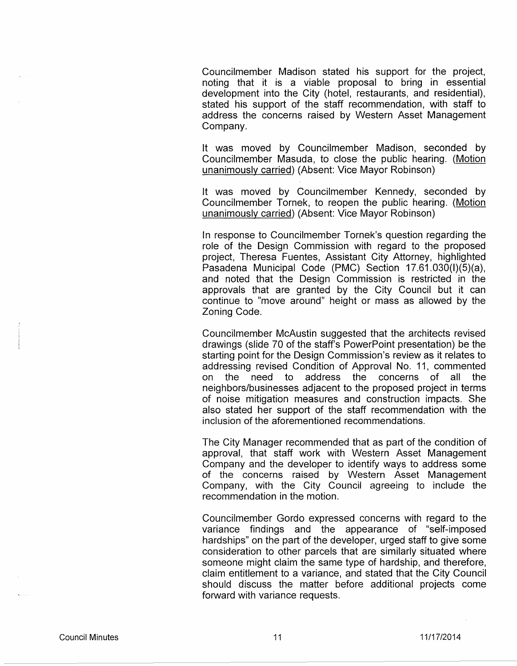Councilmember Madison stated his support for the project, noting that it is a viable proposal to bring in essential development into the City (hotel, restaurants, and residential), stated his support of the staff recommendation, with staff to address the concerns raised by Western Asset Management Company.

It was moved by Councilmember Madison, seconded by Councilmember Masuda, to close the public hearing. (Motion unanimously carried) (Absent: Vice Mayor Robinson)

It was moved by Councilmember Kennedy, seconded by Councilmember Tornek, to reopen the public hearing. (Motion unanimously carried) (Absent: Vice Mayor Robinson)

In response to Councilmember Tornek's question regarding the role of the Design Commission with regard to the proposed project, Theresa Fuentes, Assistant City Attorney, highlighted Pasadena Municipal Code (PMC) Section 17.61.030(1)(5)(a), and noted that the Design Commission is restricted in the approvals that are granted by the City Council but it can continue to "move around" height or mass as allowed by the Zoning Code.

Councilmember McAustin suggested that the architects revised drawings (slide 70 of the staff's PowerPoint presentation) be the starting point for the Design Commission's review as it relates to addressing revised Condition of Approval No. 11, commented on the need to address the concerns of all the neighbors/businesses adjacent to the proposed project in terms of noise mitigation measures and construction impacts. She also stated her support of the staff recommendation with the inclusion of the aforementioned recommendations.

The City Manager recommended that as part of the condition of approval, that staff work with Western Asset Management Company and the developer to identify ways to address some of the concerns raised by Western Asset Management Company, with the City Council agreeing to include the recommendation in the motion.

Councilmember Gordo expressed concerns with regard to the variance findings and the appearance of "self-imposed hardships" on the part of the developer, urged staff to give some consideration to other parcels that are similarly situated where someone might claim the same type of hardship, and therefore, claim entitlement to a variance, and stated that the City Council should discuss the matter before additional projects come forward with variance requests.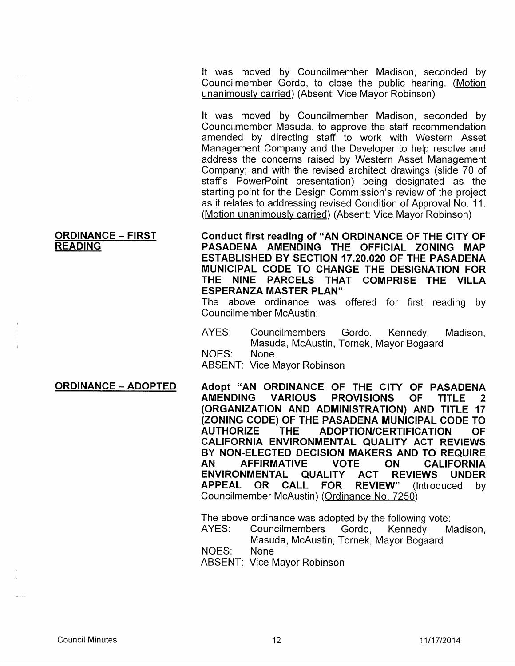It was moved by Councilmember Madison, seconded by Councilmember Gordo, to close the public hearing. (Motion unanimously carried) (Absent: Vice Mayor Robinson)

It was moved by Councilmember Madison, seconded by Councilmember Masuda, to approve the staff recommendation amended by directing staff to work with Western Asset Management Company and the Developer to help resolve and address the concerns raised by Western Asset Management Company; and with the revised architect drawings (slide 70 of staff's PowerPoint presentation) being designated as the starting point for the Design Commission's review of the project as it relates to addressing revised Condition of Approval No. 11. (Motion unanimously carried) (Absent: Vice Mayor Robinson)

Conduct first reading of "AN ORDINANCE OF THE CITY OF PASADENA AMENDING THE OFFICIAL ZONING MAP ESTABLISHED BY SECTION 17.20.020 OF THE PASADENA MUNICIPAL CODE TO CHANGE THE DESIGNATION FOR THE NINE PARCELS THAT COMPRISE THE VILLA ESPERANZA MASTER PLAN"

The above ordinance was offered for first reading by Councilmember McAustin:

- AYES: Councilmembers Gordo, Kennedy, Madison, Masuda, McAustin, Tornek, Mayor Bogaard
- NOES: None

ABSENT: Vice Mayor Robinson

ORDINANCE- ADOPTED Adopt "AN ORDINANCE OF THE CITY OF PASADENA AMENDING VARIOUS PROVISIONS OF TITLE 2 (ORGANIZATION AND ADMINISTRATION) AND TITLE 17 (ZONING CODE) OF THE PASADENA MUNICIPAL CODE TO AUTHORIZE THE ADOPTION/CERTIFICATION OF CALIFORNIA ENVIRONMENTAL QUALITY ACT REVIEWS BY NON-ELECTED DECISION MAKERS AND TO REQUIRE AN AFFIRMATIVE VOTE ON CALIFORNIA ENVIRONMENTAL QUALITY ACT REVIEWS UNDER<br>APPEAL OR CALL FOR REVIEW" (Introduced by APPEAL OR CALL FOR REVIEW" (Introduced by Councilmember McAustin) (Ordinance No. 7250)

> The above ordinance was adopted by the following vote: AYES: Councilmembers Gordo, Kennedy, Madison, Masuda, McAustin, Tornek, Mayor Bogaard NOES: None ABSENT: Vice Mayor Robinson

#### ORDINANCE - FIRST READING